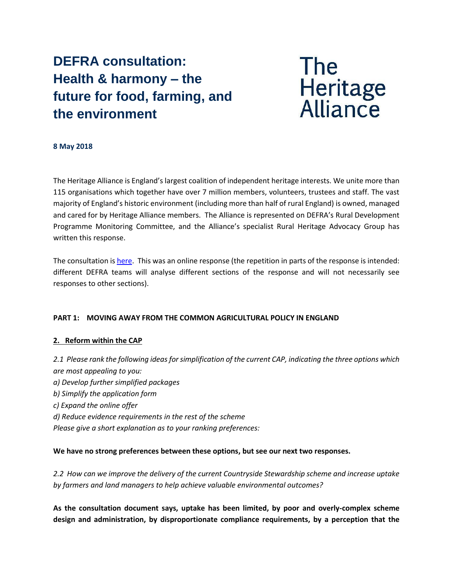# **DEFRA consultation: Health & harmony – the future for food, farming, and the environment**



## **8 May 2018**

The Heritage Alliance is England's largest coalition of independent heritage interests. We unite more than 115 organisations which together have over 7 million members, volunteers, trustees and staff. The vast majority of England's historic environment (including more than half of rural England) is owned, managed and cared for by Heritage Alliance members. The Alliance is represented on DEFRA's Rural Development Programme Monitoring Committee, and the Alliance's specialist Rural Heritage Advocacy Group has written this response.

The consultation is [here.](https://www.gov.uk/government/consultations/the-future-for-food-farming-and-the-environment) This was an online response (the repetition in parts of the response is intended: different DEFRA teams will analyse different sections of the response and will not necessarily see responses to other sections).

## **PART 1: MOVING AWAY FROM THE COMMON AGRICULTURAL POLICY IN ENGLAND**

## **2. Reform within the CAP**

*2.1 Please rank the following ideas for simplification of the current CAP, indicating the three options which are most appealing to you: a) Develop further simplified packages b) Simplify the application form c) Expand the online offer d) Reduce evidence requirements in the rest of the scheme Please give a short explanation as to your ranking preferences:*

## **We have no strong preferences between these options, but see our next two responses.**

*2.2 How can we improve the delivery of the current Countryside Stewardship scheme and increase uptake by farmers and land managers to help achieve valuable environmental outcomes?*

**As the consultation document says, uptake has been limited, by poor and overly-complex scheme design and administration, by disproportionate compliance requirements, by a perception that the**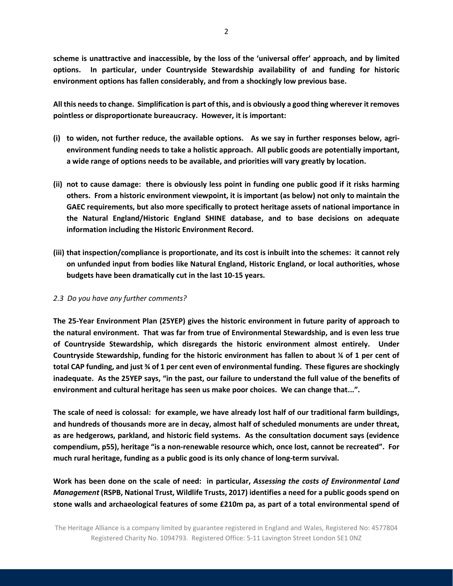**scheme is unattractive and inaccessible, by the loss of the 'universal offer' approach, and by limited options. In particular, under Countryside Stewardship availability of and funding for historic environment options has fallen considerably, and from a shockingly low previous base.** 

**All this needs to change. Simplification is part of this, and is obviously a good thing wherever itremoves pointless or disproportionate bureaucracy. However, it is important:**

- **(i) to widen, not further reduce, the available options. As we say in further responses below, agrienvironment funding needs to take a holistic approach. All public goods are potentially important, a wide range of options needs to be available, and priorities will vary greatly by location.**
- **(ii) not to cause damage: there is obviously less point in funding one public good if it risks harming others. From a historic environment viewpoint, it is important (as below) not only to maintain the GAEC requirements, but also more specifically to protect heritage assets of national importance in the Natural England/Historic England SHINE database, and to base decisions on adequate information including the Historic Environment Record.**
- **(iii) that inspection/compliance is proportionate, and its cost is inbuilt into the schemes: it cannot rely on unfunded input from bodies like Natural England, Historic England, or local authorities, whose budgets have been dramatically cut in the last 10-15 years.**

## *2.3 Do you have any further comments?*

**The 25-Year Environment Plan (25YEP) gives the historic environment in future parity of approach to the natural environment. That was far from true of Environmental Stewardship, and is even less true of Countryside Stewardship, which disregards the historic environment almost entirely. Under Countryside Stewardship, funding for the historic environment has fallen to about ¼ of 1 per cent of total CAP funding, and just ¾ of 1 per cent even of environmental funding. These figures are shockingly inadequate. As the 25YEP says, "in the past, our failure to understand the full value of the benefits of environment and cultural heritage has seen us make poor choices. We can change that...".**

**The scale of need is colossal: for example, we have already lost half of our traditional farm buildings, and hundreds of thousands more are in decay, almost half of scheduled monuments are under threat, as are hedgerows, parkland, and historic field systems. As the consultation document says (evidence compendium, p55), heritage "is a non-renewable resource which, once lost, cannot be recreated". For much rural heritage, funding as a public good is its only chance of long-term survival.** 

**Work has been done on the scale of need: in particular,** *Assessing the costs of Environmental Land Management* **(RSPB, National Trust, Wildlife Trusts, 2017) identifies a need for a public goods spend on stone walls and archaeological features of some £210m pa, as part of a total environmental spend of**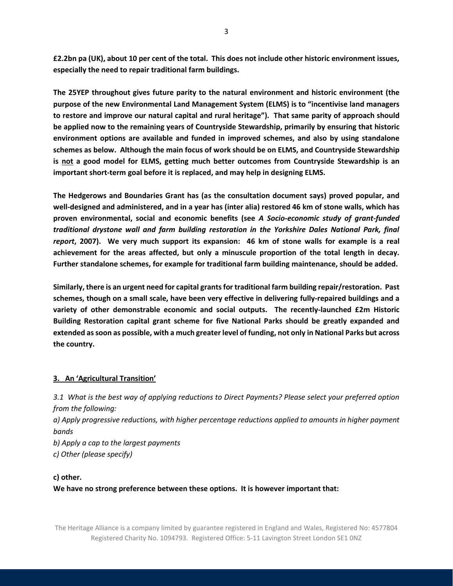**£2.2bn pa (UK), about 10 per cent of the total. This does not include other historic environment issues, especially the need to repair traditional farm buildings.**

**The 25YEP throughout gives future parity to the natural environment and historic environment (the purpose of the new Environmental Land Management System (ELMS) is to "incentivise land managers to restore and improve our natural capital and rural heritage"). That same parity of approach should be applied now to the remaining years of Countryside Stewardship, primarily by ensuring that historic environment options are available and funded in improved schemes, and also by using standalone schemes as below. Although the main focus of work should be on ELMS, and Countryside Stewardship is not a good model for ELMS, getting much better outcomes from Countryside Stewardship is an important short-term goal before it is replaced, and may help in designing ELMS.**

**The Hedgerows and Boundaries Grant has (as the consultation document says) proved popular, and well-designed and administered, and in a year has (inter alia) restored 46 km of stone walls, which has proven environmental, social and economic benefits (see** *A Socio-economic study of grant-funded traditional drystone wall and farm building restoration in the Yorkshire Dales National Park, final report***, 2007). We very much support its expansion: 46 km of stone walls for example is a real achievement for the areas affected, but only a minuscule proportion of the total length in decay. Further standalone schemes, for example for traditional farm building maintenance, should be added.**

**Similarly, there is an urgent need for capital grants for traditional farm building repair/restoration. Past schemes, though on a small scale, have been very effective in delivering fully-repaired buildings and a variety of other demonstrable economic and social outputs. The recently-launched £2m Historic Building Restoration capital grant scheme for five National Parks should be greatly expanded and extended as soon as possible, with a much greater level of funding, not only in National Parks but across the country.**

## **3. An 'Agricultural Transition'**

*3.1 What is the best way of applying reductions to Direct Payments? Please select your preferred option from the following: a) Apply progressive reductions, with higher percentage reductions applied to amounts in higher payment bands b) Apply a cap to the largest payments c) Other (please specify)* 

## **c) other.**

**We have no strong preference between these options. It is however important that:**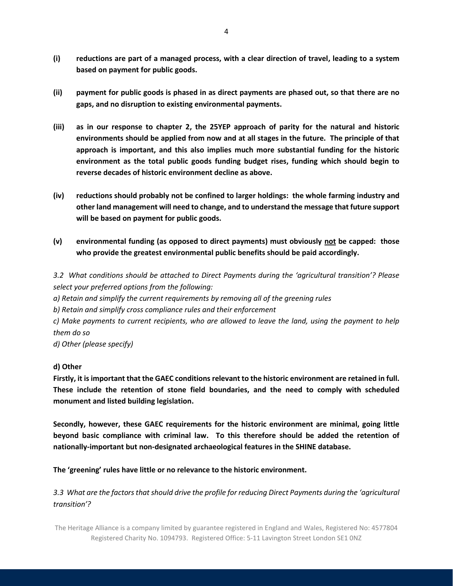- **(i) reductions are part of a managed process, with a clear direction of travel, leading to a system based on payment for public goods.**
- **(ii) payment for public goods is phased in as direct payments are phased out, so that there are no gaps, and no disruption to existing environmental payments.**
- **(iii) as in our response to chapter 2, the 25YEP approach of parity for the natural and historic environments should be applied from now and at all stages in the future. The principle of that approach is important, and this also implies much more substantial funding for the historic environment as the total public goods funding budget rises, funding which should begin to reverse decades of historic environment decline as above.**
- **(iv) reductions should probably not be confined to larger holdings: the whole farming industry and other land management will need to change, and to understand the message that future support will be based on payment for public goods.**
- **(v) environmental funding (as opposed to direct payments) must obviously not be capped: those who provide the greatest environmental public benefits should be paid accordingly.**

*3.2 What conditions should be attached to Direct Payments during the 'agricultural transition'? Please select your preferred options from the following:* 

*a) Retain and simplify the current requirements by removing all of the greening rules* 

*b) Retain and simplify cross compliance rules and their enforcement* 

*c) Make payments to current recipients, who are allowed to leave the land, using the payment to help them do so* 

*d) Other (please specify)* 

## **d) Other**

**Firstly, it is important that the GAEC conditions relevant to the historic environment are retained in full. These include the retention of stone field boundaries, and the need to comply with scheduled monument and listed building legislation.**

**Secondly, however, these GAEC requirements for the historic environment are minimal, going little beyond basic compliance with criminal law. To this therefore should be added the retention of nationally-important but non-designated archaeological features in the SHINE database.**

**The 'greening' rules have little or no relevance to the historic environment.**

*3.3 What are the factors that should drive the profile for reducing Direct Payments during the 'agricultural transition'?*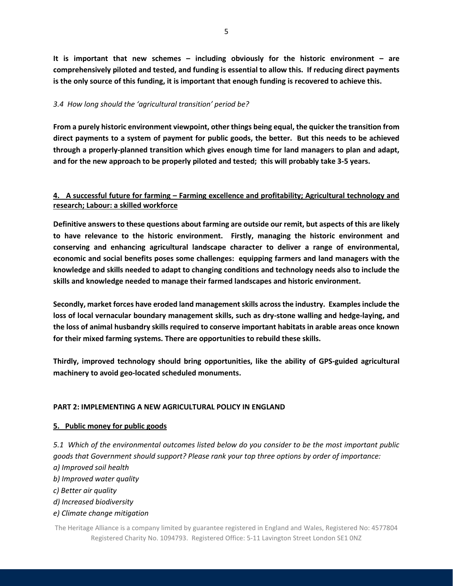**It is important that new schemes – including obviously for the historic environment – are comprehensively piloted and tested, and funding is essential to allow this. If reducing direct payments is the only source of this funding, it is important that enough funding is recovered to achieve this.**

## *3.4 How long should the 'agricultural transition' period be?*

**From a purely historic environment viewpoint, other things being equal, the quicker the transition from direct payments to a system of payment for public goods, the better. But this needs to be achieved through a properly-planned transition which gives enough time for land managers to plan and adapt, and for the new approach to be properly piloted and tested; this will probably take 3-5 years.**

## **4. A successful future for farming – Farming excellence and profitability; Agricultural technology and research; Labour: a skilled workforce**

**Definitive answers to these questions about farming are outside our remit, but aspects of this are likely to have relevance to the historic environment. Firstly, managing the historic environment and conserving and enhancing agricultural landscape character to deliver a range of environmental, economic and social benefits poses some challenges: equipping farmers and land managers with the knowledge and skills needed to adapt to changing conditions and technology needs also to include the skills and knowledge needed to manage their farmed landscapes and historic environment.** 

**Secondly, market forces have eroded land management skills across the industry. Examples include the loss of local vernacular boundary management skills, such as dry-stone walling and hedge-laying, and the loss of animal husbandry skills required to conserve important habitats in arable areas once known for their mixed farming systems. There are opportunities to rebuild these skills.**

**Thirdly, improved technology should bring opportunities, like the ability of GPS-guided agricultural machinery to avoid geo-located scheduled monuments.**

## **PART 2: IMPLEMENTING A NEW AGRICULTURAL POLICY IN ENGLAND**

## **5. Public money for public goods**

*5.1 Which of the environmental outcomes listed below do you consider to be the most important public goods that Government should support? Please rank your top three options by order of importance: a) Improved soil health* 

- *b) Improved water quality*
- *c) Better air quality*
- *d) Increased biodiversity*
- *e) Climate change mitigation*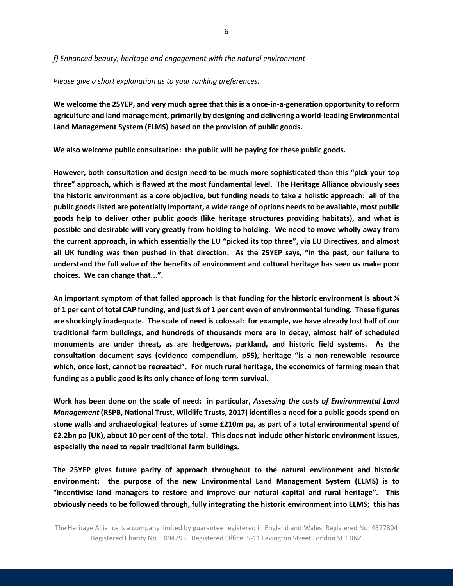*f) Enhanced beauty, heritage and engagement with the natural environment* 

#### *Please give a short explanation as to your ranking preferences:*

**We welcome the 25YEP, and very much agree that this is a once-in-a-generation opportunity to reform agriculture and land management, primarily by designing and delivering a world-leading Environmental Land Management System (ELMS) based on the provision of public goods.**

**We also welcome public consultation: the public will be paying for these public goods.** 

**However, both consultation and design need to be much more sophisticated than this "pick your top three" approach, which is flawed at the most fundamental level. The Heritage Alliance obviously sees the historic environment as a core objective, but funding needs to take a holistic approach: all of the public goods listed are potentially important, a wide range of options needs to be available, most public goods help to deliver other public goods (like heritage structures providing habitats), and what is possible and desirable will vary greatly from holding to holding. We need to move wholly away from the current approach, in which essentially the EU "picked its top three", via EU Directives, and almost all UK funding was then pushed in that direction. As the 25YEP says, "in the past, our failure to understand the full value of the benefits of environment and cultural heritage has seen us make poor choices. We can change that...".** 

**An important symptom of that failed approach is that funding for the historic environment is about ¼ of 1 per cent of total CAP funding, and just ¾ of 1 per cent even of environmental funding. These figures are shockingly inadequate. The scale of need is colossal: for example, we have already lost half of our traditional farm buildings, and hundreds of thousands more are in decay, almost half of scheduled monuments are under threat, as are hedgerows, parkland, and historic field systems. As the consultation document says (evidence compendium, p55), heritage "is a non-renewable resource which, once lost, cannot be recreated". For much rural heritage, the economics of farming mean that funding as a public good is its only chance of long-term survival.**

**Work has been done on the scale of need: in particular,** *Assessing the costs of Environmental Land Management* **(RSPB, National Trust, Wildlife Trusts, 2017) identifies a need for a public goods spend on stone walls and archaeological features of some £210m pa, as part of a total environmental spend of £2.2bn pa (UK), about 10 per cent of the total. This does not include other historic environment issues, especially the need to repair traditional farm buildings.**

**The 25YEP gives future parity of approach throughout to the natural environment and historic environment: the purpose of the new Environmental Land Management System (ELMS) is to "incentivise land managers to restore and improve our natural capital and rural heritage". This obviously needs to be followed through, fully integrating the historic environment into ELMS; this has**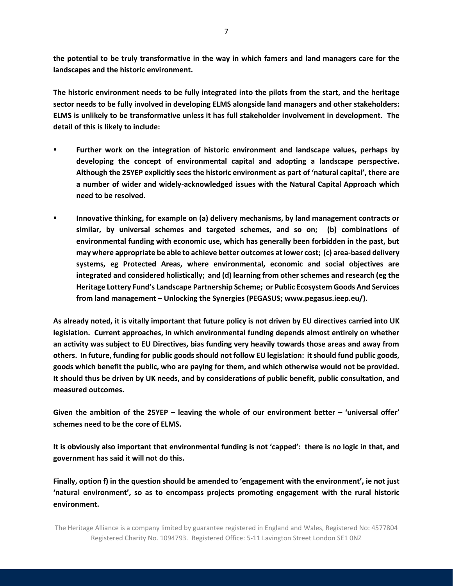**the potential to be truly transformative in the way in which famers and land managers care for the landscapes and the historic environment.** 

**The historic environment needs to be fully integrated into the pilots from the start, and the heritage sector needs to be fully involved in developing ELMS alongside land managers and other stakeholders: ELMS is unlikely to be transformative unless it has full stakeholder involvement in development. The detail of this is likely to include:**

- **Further work on the integration of historic environment and landscape values, perhaps by developing the concept of environmental capital and adopting a landscape perspective. Although the 25YEP explicitly sees the historic environment as part of 'natural capital', there are a number of wider and widely-acknowledged issues with the Natural Capital Approach which need to be resolved.**
- **Innovative thinking, for example on (a) delivery mechanisms, by land management contracts or similar, by universal schemes and targeted schemes, and so on; (b) combinations of environmental funding with economic use, which has generally been forbidden in the past, but may where appropriate be able to achieve better outcomes at lower cost; (c) area-based delivery systems, eg Protected Areas, where environmental, economic and social objectives are integrated and considered holistically; and (d) learning from other schemes and research (eg the Heritage Lottery Fund's Landscape Partnership Scheme; or Public Ecosystem Goods And Services from land management – Unlocking the Synergies (PEGASUS; www.pegasus.ieep.eu/).**

**As already noted, it is vitally important that future policy is not driven by EU directives carried into UK legislation. Current approaches, in which environmental funding depends almost entirely on whether an activity was subject to EU Directives, bias funding very heavily towards those areas and away from others. In future, funding for public goods should not follow EU legislation: it should fund public goods, goods which benefit the public, who are paying for them, and which otherwise would not be provided. It should thus be driven by UK needs, and by considerations of public benefit, public consultation, and measured outcomes.**

**Given the ambition of the 25YEP – leaving the whole of our environment better – 'universal offer' schemes need to be the core of ELMS.**

**It is obviously also important that environmental funding is not 'capped': there is no logic in that, and government has said it will not do this.**

**Finally, option f) in the question should be amended to 'engagement with the environment', ie not just 'natural environment', so as to encompass projects promoting engagement with the rural historic environment.**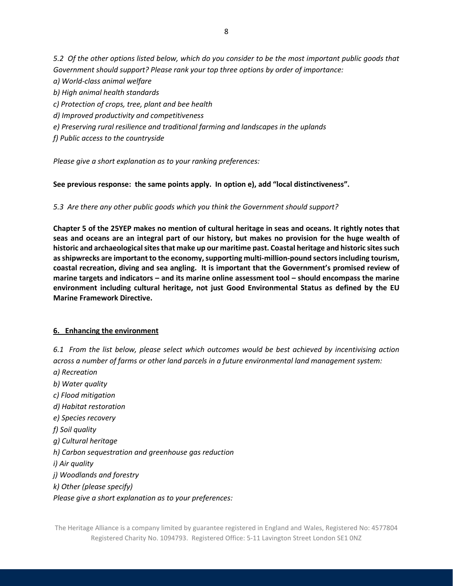*5.2 Of the other options listed below, which do you consider to be the most important public goods that Government should support? Please rank your top three options by order of importance: a) World-class animal welfare b) High animal health standards c) Protection of crops, tree, plant and bee health d) Improved productivity and competitiveness e) Preserving rural resilience and traditional farming and landscapes in the uplands f) Public access to the countryside* 

*Please give a short explanation as to your ranking preferences:*

## **See previous response: the same points apply. In option e), add "local distinctiveness".**

*5.3 Are there any other public goods which you think the Government should support?*

**Chapter 5 of the 25YEP makes no mention of cultural heritage in seas and oceans. It rightly notes that seas and oceans are an integral part of our history, but makes no provision for the huge wealth of historic and archaeological sites that make up our maritime past. Coastal heritage and historic sites such as shipwrecks are important to the economy, supporting multi-million-pound sectors including tourism, coastal recreation, diving and sea angling. It is important that the Government's promised review of marine targets and indicators – and its marine online assessment tool – should encompass the marine environment including cultural heritage, not just Good Environmental Status as defined by the EU Marine Framework Directive.**

#### **6. Enhancing the environment**

*6.1 From the list below, please select which outcomes would be best achieved by incentivising action across a number of farms or other land parcels in a future environmental land management system:* 

*a) Recreation b) Water quality c) Flood mitigation d) Habitat restoration e) Species recovery f) Soil quality g) Cultural heritage h) Carbon sequestration and greenhouse gas reduction i) Air quality j) Woodlands and forestry k) Other (please specify) Please give a short explanation as to your preferences:*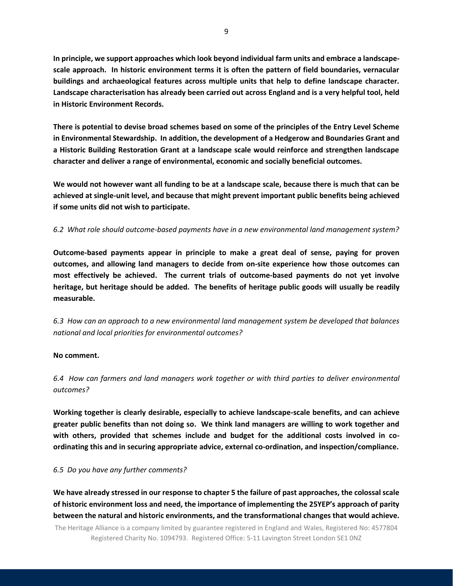**In principle, we support approaches which look beyond individual farm units and embrace a landscapescale approach. In historic environment terms it is often the pattern of field boundaries, vernacular buildings and archaeological features across multiple units that help to define landscape character. Landscape characterisation has already been carried out across England and is a very helpful tool, held in Historic Environment Records.** 

**There is potential to devise broad schemes based on some of the principles of the Entry Level Scheme in Environmental Stewardship. In addition, the development of a Hedgerow and Boundaries Grant and a Historic Building Restoration Grant at a landscape scale would reinforce and strengthen landscape character and deliver a range of environmental, economic and socially beneficial outcomes.**

**We would not however want all funding to be at a landscape scale, because there is much that can be achieved at single-unit level, and because that might prevent important public benefits being achieved if some units did not wish to participate.**

## *6.2 What role should outcome-based payments have in a new environmental land management system?*

**Outcome-based payments appear in principle to make a great deal of sense, paying for proven outcomes, and allowing land managers to decide from on-site experience how those outcomes can most effectively be achieved. The current trials of outcome-based payments do not yet involve heritage, but heritage should be added. The benefits of heritage public goods will usually be readily measurable.**

*6.3 How can an approach to a new environmental land management system be developed that balances national and local priorities for environmental outcomes?* 

#### **No comment.**

*6.4 How can farmers and land managers work together or with third parties to deliver environmental outcomes?*

**Working together is clearly desirable, especially to achieve landscape-scale benefits, and can achieve greater public benefits than not doing so. We think land managers are willing to work together and with others, provided that schemes include and budget for the additional costs involved in coordinating this and in securing appropriate advice, external co-ordination, and inspection/compliance.** 

#### *6.5 Do you have any further comments?*

**We have already stressed in our response to chapter 5 the failure of past approaches, the colossal scale of historic environment loss and need, the importance of implementing the 25YEP's approach of parity between the natural and historic environments, and the transformational changes that would achieve.**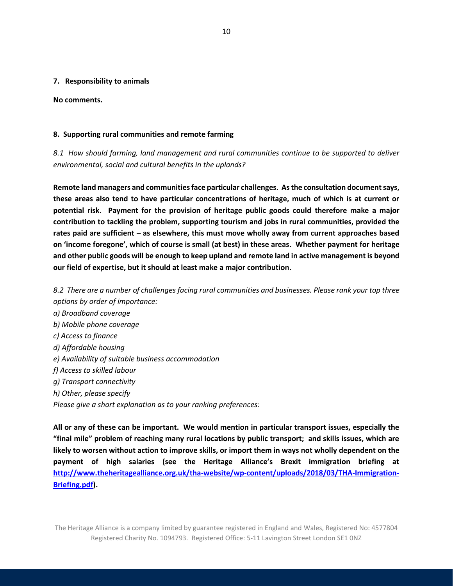#### **7. Responsibility to animals**

**No comments.**

#### **8. Supporting rural communities and remote farming**

*8.1 How should farming, land management and rural communities continue to be supported to deliver environmental, social and cultural benefits in the uplands?* 

**Remote land managers and communities face particular challenges. As the consultation document says, these areas also tend to have particular concentrations of heritage, much of which is at current or potential risk. Payment for the provision of heritage public goods could therefore make a major contribution to tackling the problem, supporting tourism and jobs in rural communities, provided the rates paid are sufficient – as elsewhere, this must move wholly away from current approaches based on 'income foregone', which of course is small (at best) in these areas. Whether payment for heritage and other public goods will be enough to keep upland and remote land in active management is beyond our field of expertise, but it should at least make a major contribution.** 

*8.2 There are a number of challenges facing rural communities and businesses. Please rank your top three options by order of importance: a) Broadband coverage b) Mobile phone coverage c) Access to finance d) Affordable housing e) Availability of suitable business accommodation f) Access to skilled labour g) Transport connectivity h) Other, please specify Please give a short explanation as to your ranking preferences:*

**All or any of these can be important. We would mention in particular transport issues, especially the "final mile" problem of reaching many rural locations by public transport; and skills issues, which are likely to worsen without action to improve skills, or import them in ways not wholly dependent on the payment of high salaries (see the Heritage Alliance's Brexit immigration briefing at [http://www.theheritagealliance.org.uk/tha-website/wp-content/uploads/2018/03/THA-Immigration-](http://www.theheritagealliance.org.uk/tha-website/wp-content/uploads/2018/03/THA-Immigration-Briefing.pdf)[Briefing.pdf\)](http://www.theheritagealliance.org.uk/tha-website/wp-content/uploads/2018/03/THA-Immigration-Briefing.pdf).**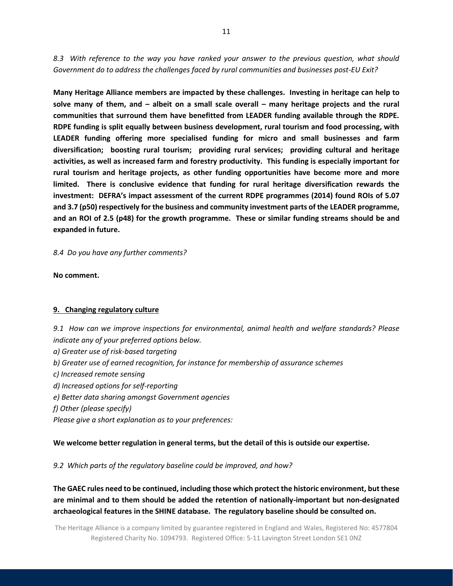*8.3 With reference to the way you have ranked your answer to the previous question, what should Government do to address the challenges faced by rural communities and businesses post-EU Exit?*

**Many Heritage Alliance members are impacted by these challenges. Investing in heritage can help to solve many of them, and – albeit on a small scale overall – many heritage projects and the rural communities that surround them have benefitted from LEADER funding available through the RDPE. RDPE funding is split equally between business development, rural tourism and food processing, with LEADER funding offering more specialised funding for micro and small businesses and farm diversification; boosting rural tourism; providing rural services; providing cultural and heritage activities, as well as increased farm and forestry productivity. This funding is especially important for rural tourism and heritage projects, as other funding opportunities have become more and more limited. There is conclusive evidence that funding for rural heritage diversification rewards the investment: DEFRA's impact assessment of the current RDPE programmes (2014) found ROIs of 5.07 and 3.7 (p50) respectively for the business and community investment parts of the LEADER programme, and an ROI of 2.5 (p48) for the growth programme. These or similar funding streams should be and expanded in future.**

*8.4 Do you have any further comments?*

**No comment.**

## **9. Changing regulatory culture**

*9.1 How can we improve inspections for environmental, animal health and welfare standards? Please indicate any of your preferred options below.* 

*a) Greater use of risk-based targeting* 

- *b) Greater use of earned recognition, for instance for membership of assurance schemes*
- *c) Increased remote sensing*
- *d) Increased options for self-reporting*
- *e) Better data sharing amongst Government agencies*
- *f) Other (please specify)*

*Please give a short explanation as to your preferences:*

**We welcome better regulation in general terms, but the detail of this is outside our expertise.**

*9.2 Which parts of the regulatory baseline could be improved, and how?* 

**The GAEC rules need to be continued, including those which protect the historic environment, but these are minimal and to them should be added the retention of nationally-important but non-designated archaeological features in the SHINE database. The regulatory baseline should be consulted on.**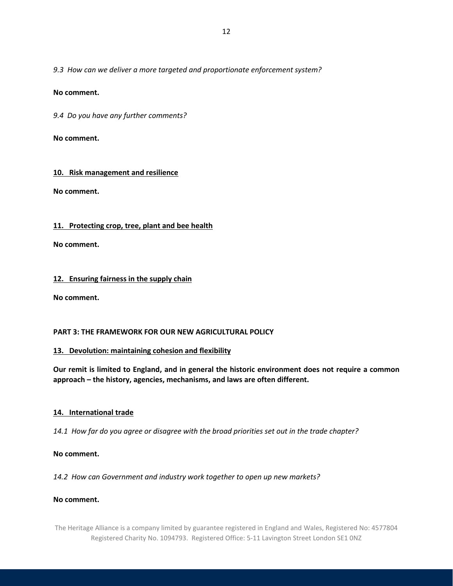*9.3 How can we deliver a more targeted and proportionate enforcement system?*

## **No comment.**

*9.4 Do you have any further comments?*

**No comment.**

## **10. Risk management and resilience**

**No comment.**

## **11. Protecting crop, tree, plant and bee health**

**No comment.**

## **12. Ensuring fairness in the supply chain**

**No comment.**

## **PART 3: THE FRAMEWORK FOR OUR NEW AGRICULTURAL POLICY**

## **13. Devolution: maintaining cohesion and flexibility**

**Our remit is limited to England, and in general the historic environment does not require a common approach – the history, agencies, mechanisms, and laws are often different.**

## **14. International trade**

*14.1 How far do you agree or disagree with the broad priorities set out in the trade chapter?*

## **No comment.**

*14.2 How can Government and industry work together to open up new markets?*

## **No comment.**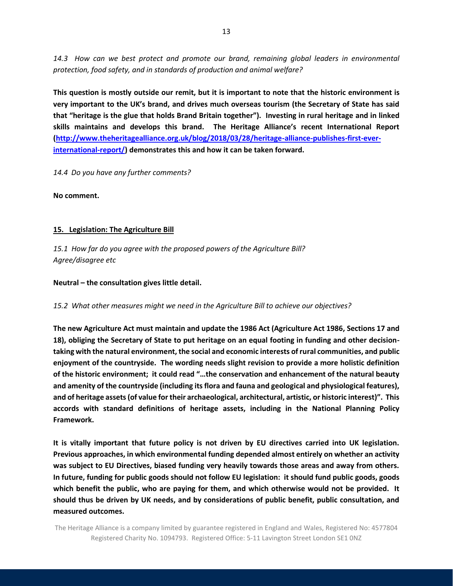*14.3 How can we best protect and promote our brand, remaining global leaders in environmental protection, food safety, and in standards of production and animal welfare?*

**This question is mostly outside our remit, but it is important to note that the historic environment is very important to the UK's brand, and drives much overseas tourism (the Secretary of State has said that "heritage is the glue that holds Brand Britain together"). Investing in rural heritage and in linked skills maintains and develops this brand. The Heritage Alliance's recent International Report [\(http://www.theheritagealliance.org.uk/blog/2018/03/28/heritage-alliance-publishes-first-ever](http://www.theheritagealliance.org.uk/blog/2018/03/28/heritage-alliance-publishes-first-ever-international-report/)[international-report/\)](http://www.theheritagealliance.org.uk/blog/2018/03/28/heritage-alliance-publishes-first-ever-international-report/) demonstrates this and how it can be taken forward.**

*14.4 Do you have any further comments?*

**No comment.**

## **15. Legislation: The Agriculture Bill**

*15.1 How far do you agree with the proposed powers of the Agriculture Bill? Agree/disagree etc*

**Neutral – the consultation gives little detail.**

## *15.2 What other measures might we need in the Agriculture Bill to achieve our objectives?*

**The new Agriculture Act must maintain and update the 1986 Act (Agriculture Act 1986, Sections 17 and 18), obliging the Secretary of State to put heritage on an equal footing in funding and other decisiontaking with the natural environment, the social and economic interests of rural communities, and public enjoyment of the countryside. The wording needs slight revision to provide a more holistic definition of the historic environment; it could read "…the conservation and enhancement of the natural beauty and amenity of the countryside (including its flora and fauna and geological and physiological features), and of heritage assets (of value for their archaeological, architectural, artistic, or historic interest)". This accords with standard definitions of heritage assets, including in the National Planning Policy Framework.**

**It is vitally important that future policy is not driven by EU directives carried into UK legislation. Previous approaches, in which environmental funding depended almost entirely on whether an activity was subject to EU Directives, biased funding very heavily towards those areas and away from others. In future, funding for public goods should not follow EU legislation: it should fund public goods, goods which benefit the public, who are paying for them, and which otherwise would not be provided. It should thus be driven by UK needs, and by considerations of public benefit, public consultation, and measured outcomes.**